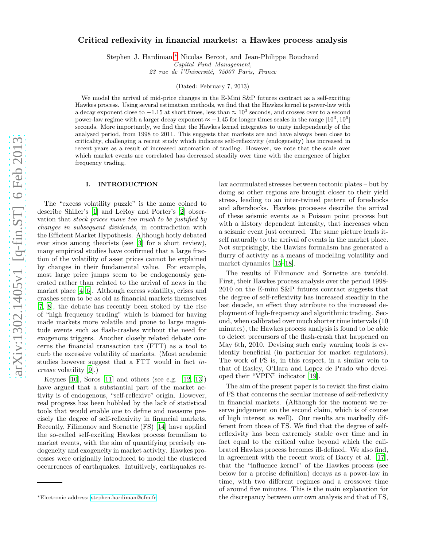# arXiv:1302.1405v1 [q-fin.ST] 6 Feb 2013 [arXiv:1302.1405v1 \[q-fin.ST\] 6 Feb 2013](http://lanl.arxiv.org/abs/1302.1405v1)

# Critical reflexivity in financial markets: a Hawkes process analysis

Stephen J. Hardiman,[∗](#page-0-0) Nicolas Bercot, and Jean-Philippe Bouchaud

Capital Fund Management,

23 rue de l'Université, 75007 Paris, France

(Dated: February 7, 2013)

We model the arrival of mid-price changes in the E-Mini S&P futures contract as a self-exciting Hawkes process. Using several estimation methods, we find that the Hawkes kernel is power-law with a decay exponent close to  $-1.15$  at short times, less than  $\approx 10^3$  seconds, and crosses over to a second power-law regime with a larger decay exponent  $\approx -1.45$  for longer times scales in the range  $[10^3, 10^6]$ seconds. More importantly, we find that the Hawkes kernel integrates to unity independently of the analysed period, from 1998 to 2011. This suggests that markets are and have always been close to criticality, challenging a recent study which indicates self-reflexivity (endogeneity) has increased in recent years as a result of increased automation of trading. However, we note that the scale over which market events are correlated has decreased steadily over time with the emergence of higher frequency trading.

### I. INTRODUCTION

The "excess volatility puzzle" is the name coined to describe Shiller's [\[1\]](#page-7-0) and LeRoy and Porter's [\[2\]](#page-7-1) observation that stock prices move too much to be justified by changes in subsequent dividends, in contradiction with the Efficient Market Hypothesis. Although hotly debated ever since among theorists (see [\[3](#page-7-2)] for a short review), many empirical studies have confirmed that a large fraction of the volatility of asset prices cannot be explained by changes in their fundamental value. For example, most large price jumps seem to be endogenously generated rather than related to the arrival of news in the market place [\[4](#page-7-3)[–6](#page-7-4)]. Although excess volatility, crises and crashes seem to be as old as financial markets themselves [\[7,](#page-7-5) [8](#page-7-6)], the debate has recently been stoked by the rise of "high frequency trading" which is blamed for having made markets more volatile and prone to large magnitude events such as flash-crashes without the need for exogenous triggers. Another closely related debate concerns the financial transaction tax (FTT) as a tool to curb the excessive volatility of markets. (Most academic studies however suggest that a FTT would in fact increase volatility [\[9](#page-7-7)].)

Keynes  $[10]$ , Soros  $[11]$  and others (see e.g.  $[12, 13]$  $[12, 13]$ ) have argued that a substantial part of the market activity is of endogenous, "self-reflexive" origin. However, real progress has been hobbled by the lack of statistical tools that would enable one to define and measure precisely the degree of self-reflexivity in financial markets. Recently, Filimonov and Sornette (FS) [\[14\]](#page-7-12) have applied the so-called self-exciting Hawkes process formalism to market events, with the aim of quantifying precisely endogeneity and exogeneity in market activity. Hawkes processes were originally introduced to model the clustered occurrences of earthquakes. Intuitively, earthquakes relax accumulated stresses between tectonic plates – but by doing so other regions are brought closer to their yield stress, leading to an inter-twined pattern of foreshocks and aftershocks. Hawkes processes describe the arrival of these seismic events as a Poisson point process but with a history dependent intensity, that increases when a seismic event just occurred. The same picture lends itself naturally to the arrival of events in the market place. Not surprisingly, the Hawkes formalism has generated a flurry of activity as a means of modelling volatility and market dynamics [\[15](#page-7-13)[–18\]](#page-7-14).

The results of Filimonov and Sornette are twofold. First, their Hawkes process analysis over the period 1998- 2010 on the E-mini S&P futures contract suggests that the degree of self-reflexivity has increased steadily in the last decade, an effect they attribute to the increased deployment of high-frequency and algorithmic trading. Second, when calibrated over much shorter time intervals (10 minutes), the Hawkes process analysis is found to be able to detect precursors of the flash-crash that happened on May 6th, 2010. Devising such early warning tools is evidently beneficial (in particular for market regulators). The work of FS is, in this respect, in a similar vein to that of Easley, O'Hara and Lopez de Prado who developed their "VPIN" indicator [\[19](#page-7-15)].

The aim of the present paper is to revisit the first claim of FS that concerns the secular increase of self-reflexivity in financial markets. (Although for the moment we reserve judgement on the second claim, which is of course of high interest as well). Our results are markedly different from those of FS. We find that the degree of selfreflexivity has been extremely stable over time and in fact equal to the critical value beyond which the calibrated Hawkes process becomes ill-defined. We also find, in agreement with the recent work of Bacry et al. [\[17\]](#page-7-16), that the "influence kernel" of the Hawkes process (see below for a precise definition) decays as a power-law in time, with two different regimes and a crossover time of around five minutes. This is the main explanation for the discrepancy between our own analysis and that of FS,

<span id="page-0-0"></span><sup>∗</sup>Electronic address: [stephen.hardiman@cfm.fr](mailto:stephen.hardiman@cfm.fr)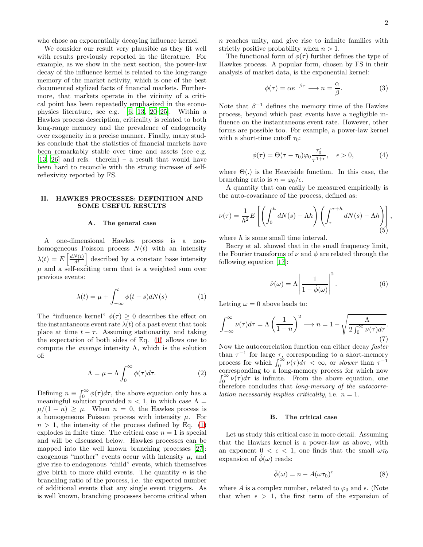who chose an exponentially decaying influence kernel.

We consider our result very plausible as they fit well with results previously reported in the literature. For example, as we show in the next section, the power-law decay of the influence kernel is related to the long-range memory of the market activity, which is one of the best documented stylized facts of financial markets. Furthermore, that markets operate in the vicinity of a critical point has been repeatedly emphasized in the econophysics literature, see e.g. [\[6,](#page-7-4) [13,](#page-7-11) [20](#page-7-17)[–25](#page-7-18)]. Within a Hawkes process description, criticality is related to both long-range memory and the prevalence of endogeneity over exogeneity in a precise manner. Finally, many studies conclude that the statistics of financial markets have been remarkably stable over time and assets (see e.g. [\[13,](#page-7-11) [26](#page-7-19)] and refs. therein) – a result that would have been hard to reconcile with the strong increase of selfreflexivity reported by FS.

### <span id="page-1-5"></span>II. HAWKES PROCESSES: DEFINITION AND SOME USEFUL RESULTS

### A. The general case

A one-dimensional Hawkes process is a nonhomogeneous Poisson process  $N(t)$  with an intensity  $\lambda(t) = E\left[\frac{dN(t)}{dt}\right]$  described by a constant base intensity  $\mu$  and a self-exciting term that is a weighted sum over previous events:

<span id="page-1-0"></span>
$$
\lambda(t) = \mu + \int_{-\infty}^{t} \phi(t - s) dN(s) \tag{1}
$$

The "influence kernel"  $\phi(\tau) \geq 0$  describes the effect on the instantaneous event rate  $\lambda(t)$  of a past event that took place at time  $t - \tau$ . Assuming stationarity, and taking the expectation of both sides of Eq. [\(1\)](#page-1-0) allows one to compute the *average* intensity  $\Lambda$ , which is the solution of:

$$
\Lambda = \mu + \Lambda \int_0^\infty \phi(\tau) d\tau.
$$
 (2)

Defining  $n \equiv \int_0^\infty \phi(\tau) d\tau$ , the above equation only has a meaningful solution provided  $n < 1$ , in which case  $\Lambda =$  $\mu/(1-n) \geq \mu$ . When  $n = 0$ , the Hawkes process is a homogeneous Poisson process with intensity  $\mu$ . For  $n > 1$ , the intensity of the process defined by Eq. [\(1\)](#page-1-0) explodes in finite time. The critical case  $n = 1$  is special and will be discussed below. Hawkes processes can be mapped into the well known branching processes [\[27\]](#page-7-20): exogenous "mother" events occur with intensity  $\mu$ , and give rise to endogenous "child" events, which themselves give birth to more child events. The quantity  $n$  is the branching ratio of the process, i.e. the expected number of additional events that any single event triggers. As is well known, branching processes become critical when

 $n$  reaches unity, and give rise to infinite families with strictly positive probability when  $n > 1$ .

The functional form of  $\phi(\tau)$  further defines the type of Hawkes process. A popular form, chosen by FS in their analysis of market data, is the exponential kernel:

$$
\phi(\tau) = \alpha e^{-\beta \tau} \longrightarrow n = \frac{\alpha}{\beta}.
$$
 (3)

Note that  $\beta^{-1}$  defines the memory time of the Hawkes process, beyond which past events have a negligible influence on the instantaneous event rate. However, other forms are possible too. For example, a power-law kernel with a short-time cutoff  $\tau_0$ :

<span id="page-1-2"></span>
$$
\phi(\tau) = \Theta(\tau - \tau_0)\varphi_0 \frac{\tau_0^{\epsilon}}{\tau^{1+\epsilon}}, \quad \epsilon > 0,
$$
\n(4)

where  $\Theta(.)$  is the Heaviside function. In this case, the branching ratio is  $n = \varphi_0/\epsilon$ .

A quantity that can easily be measured empirically is the auto-covariance of the process, defined as:

<span id="page-1-4"></span>
$$
\nu(\tau) = \frac{1}{h^2} E\left[ \left( \int_0^h dN(s) - \Lambda h \right) \left( \int_\tau^{\tau+h} dN(s) - \Lambda h \right) \right],
$$
\n(5)

where h is some small time interval.

Bacry et al. showed that in the small frequency limit, the Fourier transforms of  $\nu$  and  $\phi$  are related through the following equation [\[17\]](#page-7-16):

<span id="page-1-1"></span>
$$
\hat{\nu}(\omega) = \Lambda \left| \frac{1}{1 - \hat{\phi}(\omega)} \right|^2.
$$
\n(6)

Letting  $\omega = 0$  above leads to:

$$
\int_{-\infty}^{\infty} \nu(\tau) d\tau = \Lambda \left(\frac{1}{1-n}\right)^2 \longrightarrow n = 1 - \sqrt{\frac{\Lambda}{2 \int_{0}^{\infty} \nu(\tau) d\tau}}.
$$
\n(7)

Now the autocorrelation function can either decay faster than  $\tau^{-1}$  for large  $\tau$ , corresponding to a short-memory process for which  $\int_0^\infty \nu(\tau) d\tau < \infty$ , or *slower* than  $\tau^{-1}$ corresponding to a long-memory process for which now  $\int_0^\infty \nu(\tau) d\tau$  is infinite. From the above equation, one therefore concludes that long-memory of the autocorre*lation necessarily implies criticality, i.e.*  $n = 1$ .

### <span id="page-1-3"></span>B. The critical case

Let us study this critical case in more detail. Assuming that the Hawkes kernel is a power-law as above, with an exponent  $0 < \epsilon < 1$ , one finds that the small  $\omega \tau_0$ expansion of  $\hat{\phi}(\omega)$  reads:

$$
\hat{\phi}(\omega) = n - A(\omega \tau_0)^{\epsilon} \tag{8}
$$

where A is a complex number, related to  $\varphi_0$  and  $\epsilon$ . (Note that when  $\epsilon > 1$ , the first term of the expansion of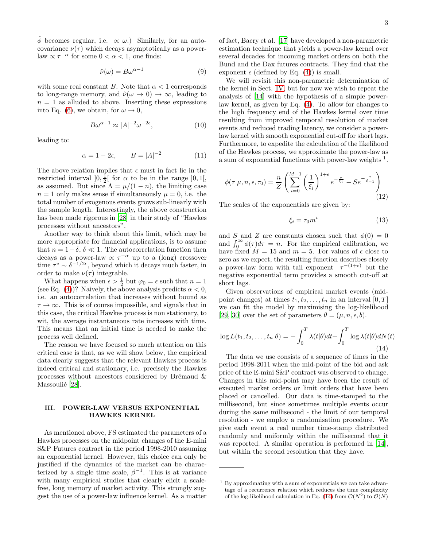$\hat{\phi}$  becomes regular, i.e.  $\propto \omega$ .) Similarly, for an autocovariance  $\nu(\tau)$  which decays asymptotically as a powerlaw  $\propto \tau^{-\alpha}$  for some  $0 < \alpha < 1$ , one finds:

$$
\hat{\nu}(\omega) = B\omega^{\alpha - 1} \tag{9}
$$

with some real constant B. Note that  $\alpha < 1$  corresponds to long-range memory, and  $\hat{\nu}(\omega \to 0) \to \infty$ , leading to  $n = 1$  as alluded to above. Inserting these expressions into Eq. [\(6\)](#page-1-1), we obtain, for  $\omega \to 0$ ,

$$
B\omega^{\alpha - 1} \approx |A|^{-2} \omega^{-2\epsilon},\tag{10}
$$

leading to:

$$
\alpha = 1 - 2\epsilon, \qquad B = |A|^{-2} \tag{11}
$$

The above relation implies that  $\epsilon$  must in fact lie in the restricted interval  $]0, \frac{1}{2} [$  for  $\alpha$  to be in the range  $]0, 1[,$ as assumed. But since  $\Lambda = \mu/(1-n)$ , the limiting case  $n = 1$  only makes sense if simultaneously  $\mu = 0$ , i.e. the total number of exogenous events grows sub-linearly with the sample length. Interestingly, the above construction has been made rigorous in [\[28\]](#page-7-21) in their study of "Hawkes processes without ancestors".

Another way to think about this limit, which may be more appropriate for financial applications, is to assume that  $n = 1-\delta$ ,  $\delta \ll 1$ . The autocorrelation function then decays as a power-law  $\propto \tau^{-\alpha}$  up to a (long) crossover time  $\tau^* \sim \delta^{-1/2\epsilon}$ , beyond which it decays much faster, in order to make  $\nu(\tau)$  integrable.

What happens when  $\epsilon > \frac{1}{2}$  but  $\varphi_0 = \epsilon$  such that  $n = 1$ (see Eq. [\(4\)](#page-1-2))? Naively, the above analysis predicts  $\alpha < 0$ , i.e. an autocorrelation that increases without bound as  $\tau \to \infty$ . This is of course impossible, and signals that in this case, the critical Hawkes process is non stationary, to wit, the average instantaneous rate increases with time. This means that an initial time is needed to make the process well defined.

The reason we have focused so much attention on this critical case is that, as we will show below, the empirical data clearly suggests that the relevant Hawkes process is indeed critical and stationary, i.e. precisely the Hawkes processes without ancestors considered by Brémaud  $\&$ Massoulié [\[28\]](#page-7-21).

### <span id="page-2-1"></span>III. POWER-LAW VERSUS EXPONENTIAL HAWKES KERNEL

As mentioned above, FS estimated the parameters of a Hawkes processes on the midpoint changes of the E-mini S&P Futures contract in the period 1998-2010 assuming an exponential kernel. However, this choice can only be justified if the dynamics of the market can be characterized by a single time scale,  $\beta^{-1}$ . This is at variance with many empirical studies that clearly elicit a scalefree, long memory of market activity. This strongly suggest the use of a power-law influence kernel. As a matter

of fact, Bacry et al. [\[17\]](#page-7-16) have developed a non-parametric estimation technique that yields a power-law kernel over several decades for incoming market orders on both the Bund and the Dax futures contracts. They find that the exponent  $\epsilon$  (defined by Eq. [\(4\)](#page-1-2)) is small.

We will revisit this non-parametric determination of the kernel in Sect. [IV,](#page-4-0) but for now we wish to repeat the analysis of [\[14\]](#page-7-12) with the hypothesis of a simple powerlaw kernel, as given by Eq. [\(4\)](#page-1-2). To allow for changes to the high frequency end of the Hawkes kernel over time resulting from improved temporal resolution of market events and reduced trading latency, we consider a powerlaw kernel with smooth exponential cut-off for short lags. Furthermore, to expedite the calculation of the likelihood of the Hawkes process, we approximate the power-law as a sum of exponential functions with power-law weights <sup>1</sup>.

$$
\phi(\tau|\mu, n, \epsilon, \tau_0) = \frac{n}{Z} \left( \sum_{i=0}^{M-1} \left( \frac{1}{\xi_i} \right)^{1+\epsilon} e^{-\frac{\tau}{\xi_i}} - S e^{-\frac{\tau}{\xi-1}} \right)
$$
(12)

The scales of the exponentials are given by:

$$
\xi_i = \tau_0 m^i \tag{13}
$$

and S and Z are constants chosen such that  $\phi(0) = 0$ and  $\int_0^\infty \phi(\tau) d\tau = n$ . For the empirical calibration, we have fixed  $M = 15$  and  $m = 5$ . For values of  $\epsilon$  close to zero as we expect, the resulting function describes closely a power-law form with tail exponent  $\tau^{-(1+\epsilon)}$  but the negative exponential term provides a smooth cut-off at short lags.

Given observations of empirical market events (midpoint changes) at times  $t_1, t_2, \ldots, t_n$  in an interval  $[0, T]$ we can fit the model by maximising the log-likelihood [\[29,](#page-7-22) [30\]](#page-7-23) over the set of parameters  $\theta = (\mu, n, \epsilon, b)$ .

<span id="page-2-0"></span>
$$
\log L(t_1, t_2, \dots, t_n | \theta) = -\int_0^T \lambda(t | \theta) dt + \int_0^T \log \lambda(t | \theta) dN(t)
$$
\n(14)

The data we use consists of a sequence of times in the period 1998-2011 when the mid-point of the bid and ask price of the E-mini S&P contract was observed to change. Changes in this mid-point may have been the result of executed market orders or limit orders that have been placed or cancelled. Our data is time-stamped to the millisecond, but since sometimes multiple events occur during the same millisecond - the limit of our temporal resolution - we employ a randomisation procedure. We give each event a real number time-stamp distributed randomly and uniformly within the millisecond that it was reported. A similar operation is performed in [\[14\]](#page-7-12), but within the second resolution that they have.

 $1$  By approximating with a sum of exponentials we can take advantage of a recurrence relation which reduces the time complexity of the log-likelihood calculation in Eq. [\(14\)](#page-2-0) from  $\mathcal{O}(N^2)$  to  $\mathcal{O}(N)$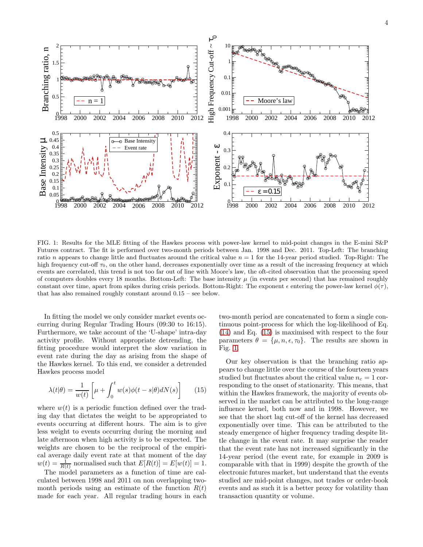

<span id="page-3-1"></span>FIG. 1: Results for the MLE fitting of the Hawkes process with power-law kernel to mid-point changes in the E-mini S&P Futures contract. The fit is performed over two-month periods between Jan. 1998 and Dec. 2011. Top-Left: The branching ratio n appears to change little and fluctuates around the critical value  $n = 1$  for the 14-year period studied. Top-Right: The high frequency cut-off  $\tau_0$ , on the other hand, decreases exponentially over time as a result of the increasing frequency at which events are correlated, this trend is not too far out of line with Moore's law, the oft-cited observation that the processing speed of computers doubles every 18 months. Bottom-Left: The base intensity  $\mu$  (in events per second) that has remained roughly constant over time, apart from spikes during crisis periods. Bottom-Right: The exponent  $\epsilon$  entering the power-law kernel  $\phi(\tau)$ , that has also remained roughly constant around 0.15 – see below.

In fitting the model we only consider market events occurring during Regular Trading Hours (09:30 to 16:15). Furthermore, we take account of the 'U-shape' intra-day activity profile. Without appropriate detrending, the fitting procedure would interpret the slow variation in event rate during the day as arising from the shape of the Hawkes kernel. To this end, we consider a detrended Hawkes process model

<span id="page-3-0"></span>
$$
\lambda(t|\theta) = \frac{1}{w(t)} \left[ \mu + \int_0^t w(s)\phi(t-s|\theta)dN(s) \right]
$$
 (15)

where  $w(t)$  is a periodic function defined over the trading day that dictates the weight to be appropriated to events occurring at different hours. The aim is to give less weight to events occurring during the morning and late afternoon when high activity is to be expected. The weights are chosen to be the reciprocal of the empirical average daily event rate at that moment of the day  $w(t) = \frac{1}{R(t)}$  normalised such that  $E[R(t)] = E[w(t)] = 1$ .

The model parameters as a function of time are calculated between 1998 and 2011 on non overlapping twomonth periods using an estimate of the function  $R(t)$ made for each year. All regular trading hours in each

two-month period are concatenated to form a single continuous point-process for which the log-likelihood of Eq. [\(14\)](#page-2-0) and Eq. [\(15\)](#page-3-0) is maximised with respect to the four parameters  $\theta = {\mu, n, \epsilon, \tau_0}$ . The results are shown in Fig. [1.](#page-3-1)

Our key observation is that the branching ratio appears to change little over the course of the fourteen years studied but fluctuates about the critical value  $n_c = 1$  corresponding to the onset of stationarity. This means, that within the Hawkes framework, the majority of events observed in the market can be attributed to the long-range influence kernel, both now and in 1998. However, we see that the short lag cut-off of the kernel has decreased exponentially over time. This can be attributed to the steady emergence of higher frequency trading despite little change in the event rate. It may surprise the reader that the event rate has not increased significantly in the 14-year period (the event rate, for example in 2009 is comparable with that in 1999) despite the growth of the electronic futures market, but understand that the events studied are mid-point changes, not trades or order-book events and as such it is a better proxy for volatility than transaction quantity or volume.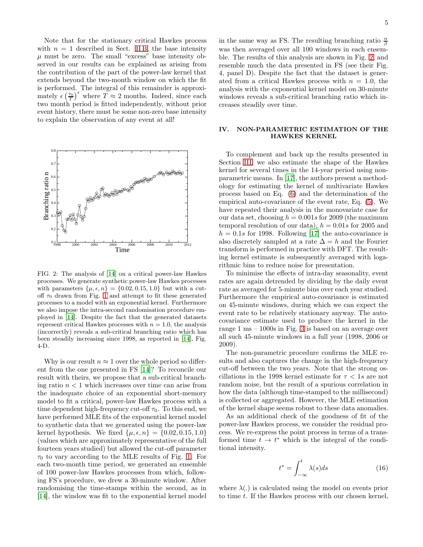Note that for the stationary critical Hawkes process with  $n = 1$  described in Sect. [II B,](#page-1-3) the base intensity  $\mu$  must be zero. The small "excess" base intensity observed in our results can be explained as arising from the contribution of the part of the power-law kernel that extends beyond the two-month window on which the fit is performed. The integral of this remainder is approximately  $\epsilon \left( \frac{\tau_0}{T} \right)^{\epsilon}$  where  $T \approx 2$  months. Indeed, since each two month period is fitted independently, without prior event history, there must be some non-zero base intensity to explain the observation of any event at all!



<span id="page-4-1"></span>FIG. 2: The analysis of [\[14](#page-7-12)] on a critical power-law Hawkes processes. We generate synthetic power-law Hawkes processes with parameters  $\{\mu, \epsilon, n\} = \{0.02, 0.15, 1.0\}$  but with a cutoff  $\tau_0$  drawn from Fig. [1](#page-3-1) and attempt to fit these generated processes to a model with an exponential kernel. Furthermore we also impose the intra-second randomisation procedure employed in [\[14](#page-7-12)]. Despite the fact that the generated datasets represent critical Hawkes processes with  $n = 1.0$ , the analysis (incorrectly) reveals a sub-critical branching ratio which has been steadily increasing since 1998, as reported in [\[14](#page-7-12)], Fig. 4-D.

Why is our result  $n \approx 1$  over the whole period so different from the one presented in FS [\[14\]](#page-7-12)? To reconcile our result with theirs, we propose that a sub-critical branching ratio  $n < 1$  which increases over time can arise from the inadequate choice of an exponential short-memory model to fit a critical, power-law Hawkes process with a time dependent high-frequency cut-off  $\tau_0$ . To this end, we have performed MLE fits of the exponential kernel model to synthetic data that we generated using the power-law kernel hypothesis. We fixed  $\{\mu, \epsilon, n\} = \{0.02, 0.15, 1.0\}$ (values which are approximately representative of the full fourteen years studied) but allowed the cut-off parameter  $\tau_0$  to vary according to the MLE results of Fig. [1.](#page-3-1) For each two-month time period, we generated an ensemble of 100 power-law Hawkes processes from which, following FS's procedure, we drew a 30-minute window. After randomising the time-stamps within the second, as in [\[14\]](#page-7-12), the window was fit to the exponential kernel model

in the same way as FS. The resulting branching ratio  $\frac{\alpha}{\beta}$ was then averaged over all 100 windows in each ensemble. The results of this analysis are shown in Fig. [2,](#page-4-1) and resemble much the data presented in FS (see their Fig. 4, panel D). Despite the fact that the dataset is generated from a critical Hawkes process with  $n = 1.0$ , the analysis with the exponential kernel model on 30-minute windows reveals a sub-critical branching ratio which increases steadily over time.

# <span id="page-4-0"></span>IV. NON-PARAMETRIC ESTIMATION OF THE HAWKES KERNEL

To complement and back up the results presented in Section [III,](#page-2-1) we also estimate the shape of the Hawkes kernel for several times in the 14-year period using nonparametric means. In [\[17\]](#page-7-16), the authors present a methodology for estimating the kernel of multivariate Hawkes process based on Eq. [\(6\)](#page-1-1) and the determination of the empirical auto-covariance of the event rate, Eq. [\(5\)](#page-1-4). We have repeated their analysis in the monovariate case for our data set, choosing  $h = 0.001s$  for 2009 (the maximum temporal resolution of our data),  $h = 0.01s$  for 2005 and  $h = 0.1s$  for 1998. Following [\[17](#page-7-16)] the auto-covariance is also discretely sampled at a rate  $\Delta = h$  and the Fourier transform is performed in practice with DFT. The resulting kernel estimate is subsequently averaged with logarithmic bins to reduce noise for presentation.

To minimise the effects of intra-day seasonality, event rates are again detrended by dividing by the daily event rate as averaged for 5-minute bins over each year studied. Furthermore the empirical auto-covariance is estimated on 45-minute windows, during which we can expect the event rate to be relatively stationary anyway. The autocovariance estimate used to produce the kernel in the range 1 ms – 1000s in Fig. [3](#page-5-0) is based on an average over all such 45-minute windows in a full year (1998, 2006 or 2009).

The non-parametric procedure confirms the MLE results and also captures the change in the high-frequency cut-off between the two years. Note that the strong oscillations in the 1998 kernel estimate for  $\tau < 1s$  are not random noise, but the result of a spurious correlation in how the data (although time-stamped to the millisecond) is collected or aggregated. However, the MLE estimation of the kernel shape seems robust to these data anomalies.

As an additional check of the goodness of fit of the power-law Hawkes process, we consider the residual process. We re-express the point process in terms of a transformed time  $t \to t^*$  which is the integral of the conditional intensity.

<span id="page-4-2"></span>
$$
t^* = \int_{-\infty}^t \lambda(s)ds
$$
 (16)

where  $\lambda(.)$  is calculated using the model on events prior to time t. If the Hawkes process with our chosen kernel,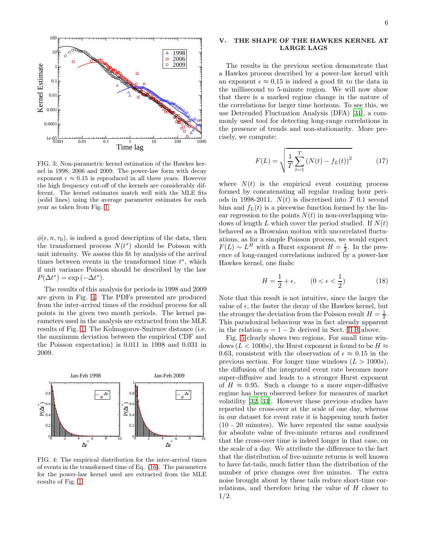

<span id="page-5-0"></span>FIG. 3: Non-parametric kernel estimation of the Hawkes kernel in 1998, 2006 and 2009. The power-law form with decay exponent  $\epsilon \approx 0.15$  is reproduced in all three years. However the high frequency cut-off of the kernels are considerably different. The kernel estimates match well with the MLE fits (solid lines) using the average parameter estimates for each year as taken from Fig. [1](#page-3-1)

 $\phi(\epsilon, n, \tau_0)$ , is indeed a good description of the data, then the transformed process  $N(t^*)$  should be Poisson with unit intensity. We assess this fit by analysis of the arrival times between events in the transformed time  $t^*$ , which if unit variance Poisson should be described by the law  $P(\Delta t^*) = \exp(-\Delta t^*).$ 

The results of this analysis for periods in 1998 and 2009 are given in Fig. [4.](#page-5-1) The PDFs presented are produced from the inter-arrival times of the residual process for all points in the given two month periods. The kernel parameters used in the analysis are extracted from the MLE results of Fig. [1.](#page-3-1) The Kolmogorov-Smirnov distance (i.e. the maximum deviation between the empirical CDF and the Poisson expectation) is 0.011 in 1998 and 0.031 in 2009.



<span id="page-5-1"></span>FIG. 4: The empirical distribution for the inter-arrival times of events in the transformed time of Eq. [\(16\)](#page-4-2). The parameters for the power-law kernel used are extracted from the MLE results of Fig. [1](#page-3-1)

## V. THE SHAPE OF THE HAWKES KERNEL AT LARGE LAGS

The results in the previous section demonstrate that a Hawkes process described by a power-law kernel with an exponent  $\epsilon \approx 0.15$  is indeed a good fit to the data in the millisecond to 5-minute region. We will now show that there is a marked regime change in the nature of the correlations for larger time horizons. To see this, we use Detrended Fluctuation Analysis (DFA) [\[31](#page-8-0)], a commonly used tool for detecting long-range correlations in the presence of trends and non-stationarity. More precisely, we compute:

$$
F(L) = \sqrt{\frac{1}{T} \sum_{t=1}^{T} (N(t) - f_L(t))^2}
$$
 (17)

where  $N(t)$  is the empirical event counting process formed by concatenating all regular trading hour periods in 1998-2011.  $N(t)$  is discretised into T 0.1 second bins and  $f<sub>L</sub>(t)$  is a piecewise function formed by the linear regression to the points  $N(t)$  in non-overlapping windows of length L which cover the period studied. If  $N(t)$ behaved as a Brownian motion with uncorrelated fluctuations, as for a simple Poisson process, we would expect  $F(L) \sim L^H$  with a Hurst exponent  $H = \frac{1}{2}$ . In the presence of long-ranged correlations induced by a power-law Hawkes kernel, one finds:

$$
H = \frac{1}{2} + \epsilon, \qquad (0 < \epsilon < \frac{1}{2}) \tag{18}
$$

Note that this result is not intuitive, since the larger the value of  $\epsilon$ , the faster the decay of the Hawkes kernel, but the stronger the deviation from the Poisson result  $H = \frac{1}{2}$ . This paradoxical behaviour was in fact already apparent in the relation  $\alpha = 1 - 2\epsilon$  derived in Sect. [II B](#page-1-3) above.

Fig. [5](#page-6-0) clearly shows two regions. For small time windows ( $L < 1000s$ ), the Hurst exponent is found to be  $H \approx$ 0.63, consistent with the observation of  $\epsilon \approx 0.15$  in the previous section. For longer time windows  $(L > 1000s)$ , the diffusion of the integrated event rate becomes more super-diffusive and leads to a stronger Hurst exponent of  $H \approx 0.95$ . Such a change to a more super-diffusive regime has been observed before for measures of market volatility [\[32,](#page-8-1) [33](#page-8-2)]. However these previous studies have reported the cross-over at the scale of one day, whereas in our dataset for event rate it is happening much faster (10 - 20 minutes). We have repeated the same analysis for absolute value of five-minute returns and confirmed that the cross-over time is indeed longer in that case, on the scale of a day. We attribute the difference to the fact that the distribution of five-minute returns is well known to have fat-tails, much fatter than the distribution of the number of price changes over five minutes. The extra noise brought about by these tails reduce short-time correlations, and therefore bring the value of H closer to 1/2.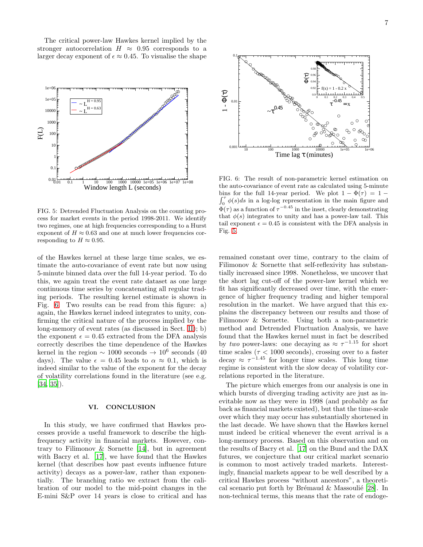The critical power-law Hawkes kernel implied by the stronger autocorrelation  $H \approx 0.95$  corresponds to a larger decay exponent of  $\epsilon \approx 0.45$ . To visualise the shape



<span id="page-6-0"></span>FIG. 5: Detrended Fluctuation Analysis on the counting process for market events in the period 1998-2011. We identify two regimes, one at high frequencies corresponding to a Hurst exponent of  $H \approx 0.63$  and one at much lower frequencies corresponding to  $H \approx 0.95$ .

of the Hawkes kernel at these large time scales, we estimate the auto-covariance of event rate but now using 5-minute binned data over the full 14-year period. To do this, we again treat the event rate dataset as one large continuous time series by concatenating all regular trading periods. The resulting kernel estimate is shown in Fig. [6.](#page-6-1) Two results can be read from this figure: a) again, the Hawkes kernel indeed integrates to unity, confirming the critical nature of the process implied by the long-memory of event rates (as discussed in Sect. [II\)](#page-1-5); b) the exponent  $\epsilon = 0.45$  extracted from the DFA analysis correctly describes the time dependence of the Hawkes kernel in the region  $\sim 1000$  seconds  $\rightarrow 10^6$  seconds (40 days). The value  $\epsilon = 0.45$  leads to  $\alpha \approx 0.1$ , which is indeed similar to the value of the exponent for the decay of volatility correlations found in the literature (see e.g. [\[34,](#page-8-3) [35\]](#page-8-4)).

### VI. CONCLUSION

In this study, we have confirmed that Hawkes processes provide a useful framework to describe the highfrequency activity in financial markets. However, contrary to Filimonov & Sornette [\[14](#page-7-12)], but in agreement with Bacry et al. [\[17\]](#page-7-16), we have found that the Hawkes kernel (that describes how past events influence future activity) decays as a power-law, rather than exponentially. The branching ratio we extract from the calibration of our model to the mid-point changes in the E-mini S&P over 14 years is close to critical and has



<span id="page-6-1"></span>FIG. 6: The result of non-parametric kernel estimation on the auto-covariance of event rate as calculated using 5-minute  $\int_0^{\tau} \phi(s)ds$  in a log-log representation in the main figure and bins for the full 14-year period. We plot  $1 - \Phi(\tau) = 1 \Phi(\tau)$  as a function of  $\tau^{-0.45}$  in the inset, clearly demonstrating that  $\phi(s)$  integrates to unity and has a power-law tail. This tail exponent  $\epsilon = 0.45$  is consistent with the DFA analysis in Fig. [5.](#page-6-0)

remained constant over time, contrary to the claim of Filimonov & Sornette that self-reflexivity has substantially increased since 1998. Nonetheless, we uncover that the short lag cut-off of the power-law kernel which we fit has significantly decreased over time, with the emergence of higher frequency trading and higher temporal resolution in the market. We have argued that this explains the discrepancy between our results and those of Filimonov & Sornette. Using both a non-parametric method and Detrended Fluctuation Analysis, we have found that the Hawkes kernel must in fact be described by two power-laws: one decaying as  $\approx \tau^{-1.15}$  for short time scales ( $\tau$  < 1000 seconds), crossing over to a faster decay  $\approx \tau^{-1.45}$  for longer time scales. This long time regime is consistent with the slow decay of volatility correlations reported in the literature.

The picture which emerges from our analysis is one in which bursts of diverging trading activity are just as inevitable now as they were in 1998 (and probably as far back as financial markets existed), but that the time-scale over which they may occur has substantially shortened in the last decade. We have shown that the Hawkes kernel must indeed be critical whenever the event arrival is a long-memory process. Based on this observation and on the results of Bacry et al. [\[17\]](#page-7-16) on the Bund and the DAX futures, we conjecture that our critical market scenario is common to most actively traded markets. Interestingly, financial markets appear to be well described by a critical Hawkes process "without ancestors", a theoretical scenario put forth by Brémaud  $\&$  Massoulié [\[28](#page-7-21)]. In non-technical terms, this means that the rate of endoge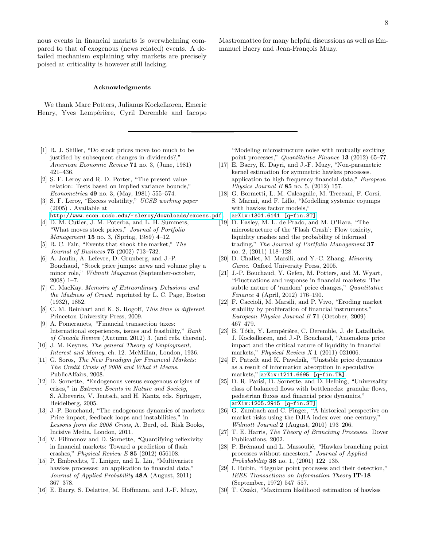nous events in financial markets is overwhelming compared to that of exogenous (news related) events. A detailed mechanism explaining why markets are precisely poised at criticality is however still lacking.

### Acknowledgments

We thank Marc Potters, Julianus Kockelkoren, Emeric Henry, Yves Lempérière, Cyril Deremble and Iacopo

- <span id="page-7-0"></span>[1] R. J. Shiller, "Do stock prices move too much to be justified by subsequent changes in dividends?," American Economic Review 71 no. 3, (June, 1981) 421–436.
- <span id="page-7-1"></span>[2] S. F. Leroy and R. D. Porter, "The present value relation: Tests based on implied variance bounds," Econometrica 49 no. 3, (May, 1981) 555-574.
- <span id="page-7-2"></span>[3] S. F. Leroy, "Excess volatility," UCSB working paper (2005) . Available at
- <http://www.econ.ucsb.edu/~sleroy/downloads/excess.pdf>. [4] D. M. Cutler, J. M. Poterba, and L. H. Summers,
- <span id="page-7-3"></span>"What moves stock prices," Journal of Portfolio Management 15 no. 3, (Spring, 1989) 4–12.
- [5] R. C. Fair, "Events that shook the market," The Journal of Business 75 (2002) 713–732.
- <span id="page-7-4"></span>[6] A. Joulin, A. Lefevre, D. Grunberg, and J.-P. Bouchaud, "Stock price jumps: news and volume play a minor role," Wilmott Magazine (September-october, 2008) 1–7.
- <span id="page-7-5"></span>[7] C. MacKay, Memoirs of Extraordinary Delusions and the Madness of Crowd. reprinted by L. C. Page, Boston (1932), 1852.
- <span id="page-7-6"></span>[8] C. M. Reinhart and K. S. Rogoff, This time is different. Princeton University Press, 2009.
- <span id="page-7-7"></span>[9] A. Pomeranets, "Financial transaction taxes: International experiences, issues and feasibility," Bank of Canada Review (Autumn 2012) 3. (and refs. therein).
- <span id="page-7-8"></span>[10] J. M. Keynes, The general Theory of Employment, Interest and Money, ch. 12. McMillan, London, 1936.
- <span id="page-7-9"></span>[11] G. Soros, The New Paradigm for Financial Markets: The Credit Crisis of 2008 and What it Means. PublicAffairs, 2008.
- <span id="page-7-10"></span>[12] D. Sornette, "Endogenous versus exogenous origins of crises," in Extreme Events in Nature and Society, S. Albeverio, V. Jentsch, and H. Kantz, eds. Springer, Heidelberg, 2005.
- <span id="page-7-11"></span>[13] J.-P. Bouchaud, "The endogenous dynamics of markets: Price impact, feedback loops and instabilities," in Lessons from the 2008 Crisis, A. Berd, ed. Risk Books, Incisive Media, London, 2011.
- <span id="page-7-12"></span>[14] V. Filimonov and D. Sornette, "Quantifying reflexivity in financial markets: Toward a prediction of flash crashes," Physical Review E 85 (2012) 056108.
- <span id="page-7-13"></span>[15] P. Embrechts, T. Liniger, and L. Lin, "Multivariate hawkes processes: an application to financial data," Journal of Applied Probability **48A** (August, 2011) 367–378.
- [16] E. Bacry, S. Delattre, M. Hoffmann, and J.-F. Muzy,

Mastromatteo for many helpful discussions as well as Emmanuel Bacry and Jean-François Muzy.

"Modeling microstructure noise with mutually exciting point processes," Quantitative Finance 13 (2012) 65-77.

- <span id="page-7-16"></span>[17] E. Bacry, K. Dayri, and J.-F. Muzy, "Non-parametric kernel estimation for symmetric hawkes processes. application to high frequency financial data," European Physics Journal B  $85$  no. 5, (2012) 157.
- <span id="page-7-14"></span>[18] G. Bormetti, L. M. Calcagnile, M. Treccani, F. Corsi, S. Marmi, and F. Lillo, "Modelling systemic cojumps with hawkes factor models,'
- [arXiv:1301.6141 \[q-fin.ST\]](http://arxiv.org/abs/1301.6141).
- <span id="page-7-15"></span>[19] D. Easley, M. L. de Prado, and M. O'Hara, "The microstructure of the 'Flash Crash': Flow toxicity, liquidity crashes and the probability of informed trading," The Journal of Portfolio Management 37 no. 2, (2011) 118–128.
- <span id="page-7-17"></span>[20] D. Challet, M. Marsili, and Y.-C. Zhang, Minority Game. Oxford University Press, 2005.
- [21] J.-P. Bouchaud, Y. Gefen, M. Potters, and M. Wyart, "Fluctuations and response in financial markets: The subtle nature of 'random' price changes," Quantitative Finance 4 (April, 2012) 176–190.
- [22] F. Caccioli, M. Marsili, and P. Vivo, "Eroding market stability by proliferation of financial instruments," European Physics Journal B 71 (October, 2009) 467–479.
- [23] B. Tóth, Y. Lempérière, C. Deremble, J. de Lataillade, J. Kockelkoren, and J.-P. Bouchaud, "Anomalous price impact and the critical nature of liquidity in financial markets," *Physical Review X* **1** (2011) 021006.
- [24] F. Patzelt and K. Pawelzik, "Unstable price dynamics as a result of information absorption in speculative markets," [arXiv:1211.6695 \[q-fin.TR\]](http://arxiv.org/abs/1211.6695).
- <span id="page-7-18"></span>[25] D. R. Parisi, D. Sornette, and D. Helbing, "Universality class of balanced flows with bottlenecks: granular flows, pedestrian fluxes and financial price dynamics," [arXiv:1205.2915 \[q-fin.ST\]](http://arxiv.org/abs/1205.2915).
- <span id="page-7-19"></span>[26] G. Zumbach and C. Finger, "A historical perspective on market risks using the DJIA index over one century," Wilmott Journal 2 (August, 2010) 193–206.
- <span id="page-7-20"></span>[27] T. E. Harris, The Theory of Branching Processes. Dover Publications, 2002.
- <span id="page-7-21"></span>[28] P. Brémaud and L. Massoulié, "Hawkes branching point processes without ancestors," Journal of Applied Probabability 38 no. 1, (2001) 122–135.
- <span id="page-7-22"></span>[29] I. Rubin, "Regular point processes and their detection," IEEE Transactions on Information Theory IT-18 (September, 1972) 547–557.
- <span id="page-7-23"></span>[30] T. Ozaki, "Maximum likelihood estimation of hawkes